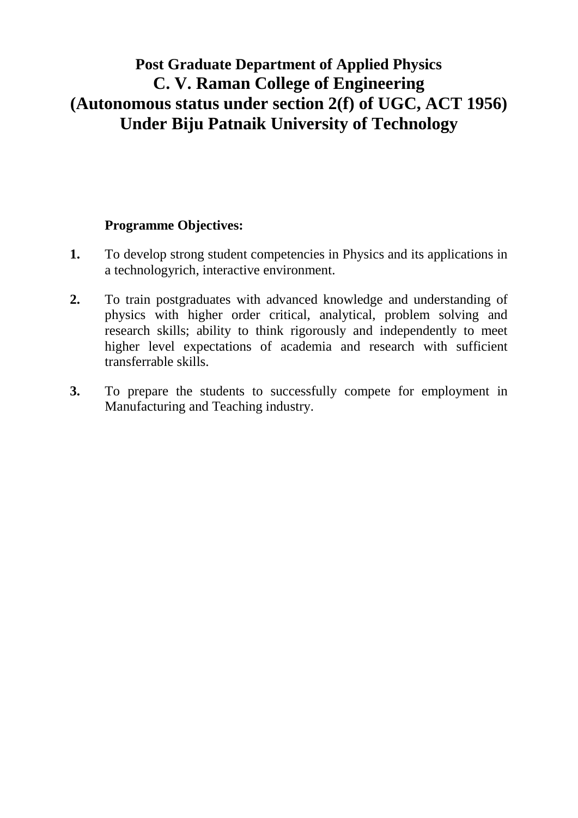## **Post Graduate Department of Applied Physics C. V. Raman College of Engineering (Autonomous status under section 2(f) of UGC, ACT 1956) Under Biju Patnaik University of Technology**

## **Programme Objectives:**

- **1.** To develop strong student competencies in Physics and its applications in a technologyrich, interactive environment.
- **2.** To train postgraduates with advanced knowledge and understanding of physics with higher order critical, analytical, problem solving and research skills; ability to think rigorously and independently to meet higher level expectations of academia and research with sufficient transferrable skills.
- **3.** To prepare the students to successfully compete for employment in Manufacturing and Teaching industry.